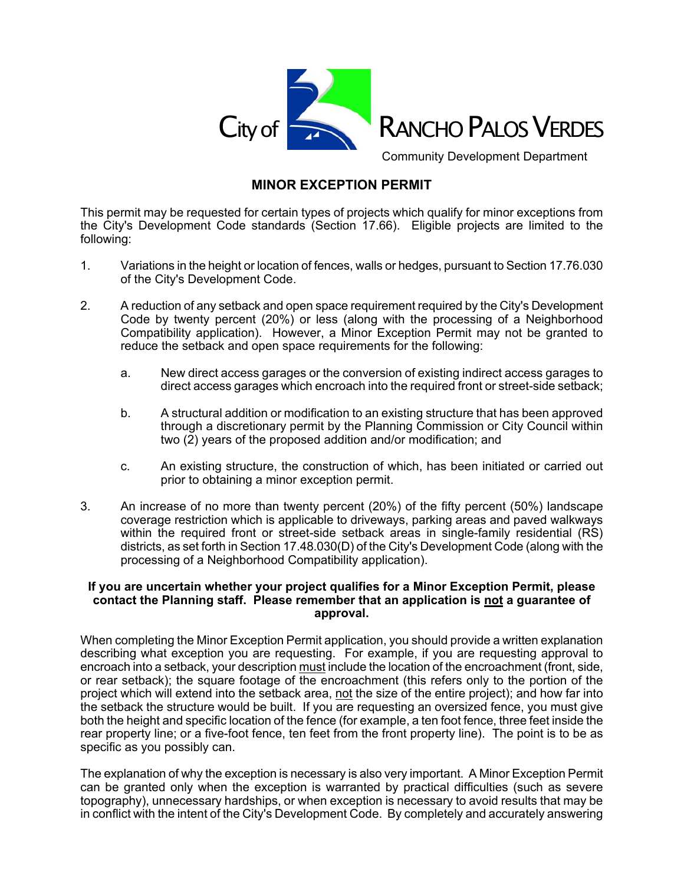

Community Development Department

## **MINOR EXCEPTION PERMIT**

This permit may be requested for certain types of projects which qualify for minor exceptions from the City's Development Code standards (Section 17.66). Eligible projects are limited to the following:

- 1. Variations in the height or location of fences, walls or hedges, pursuant to Section 17.76.030 of the City's Development Code.
- 2. A reduction of any setback and open space requirement required by the City's Development Code by twenty percent (20%) or less (along with the processing of a Neighborhood Compatibility application). However, a Minor Exception Permit may not be granted to reduce the setback and open space requirements for the following:
	- a. New direct access garages or the conversion of existing indirect access garages to direct access garages which encroach into the required front or street-side setback;
	- b. A structural addition or modification to an existing structure that has been approved through a discretionary permit by the Planning Commission or City Council within two (2) years of the proposed addition and/or modification; and
	- c. An existing structure, the construction of which, has been initiated or carried out prior to obtaining a minor exception permit.
- 3. An increase of no more than twenty percent (20%) of the fifty percent (50%) landscape coverage restriction which is applicable to driveways, parking areas and paved walkways within the required front or street-side setback areas in single-family residential (RS) districts, as set forth in Section 17.48.030(D) of the City's Development Code (along with the processing of a Neighborhood Compatibility application).

## **If you are uncertain whether your project qualifies for a Minor Exception Permit, please contact the Planning staff. Please remember that an application is not a guarantee of approval.**

When completing the Minor Exception Permit application, you should provide a written explanation describing what exception you are requesting. For example, if you are requesting approval to encroach into a setback, your description must include the location of the encroachment (front, side, or rear setback); the square footage of the encroachment (this refers only to the portion of the project which will extend into the setback area, not the size of the entire project); and how far into the setback the structure would be built. If you are requesting an oversized fence, you must give both the height and specific location of the fence (for example, a ten foot fence, three feet inside the rear property line; or a five-foot fence, ten feet from the front property line). The point is to be as specific as you possibly can.

The explanation of why the exception is necessary is also very important. A Minor Exception Permit can be granted only when the exception is warranted by practical difficulties (such as severe topography), unnecessary hardships, or when exception is necessary to avoid results that may be in conflict with the intent of the City's Development Code. By completely and accurately answering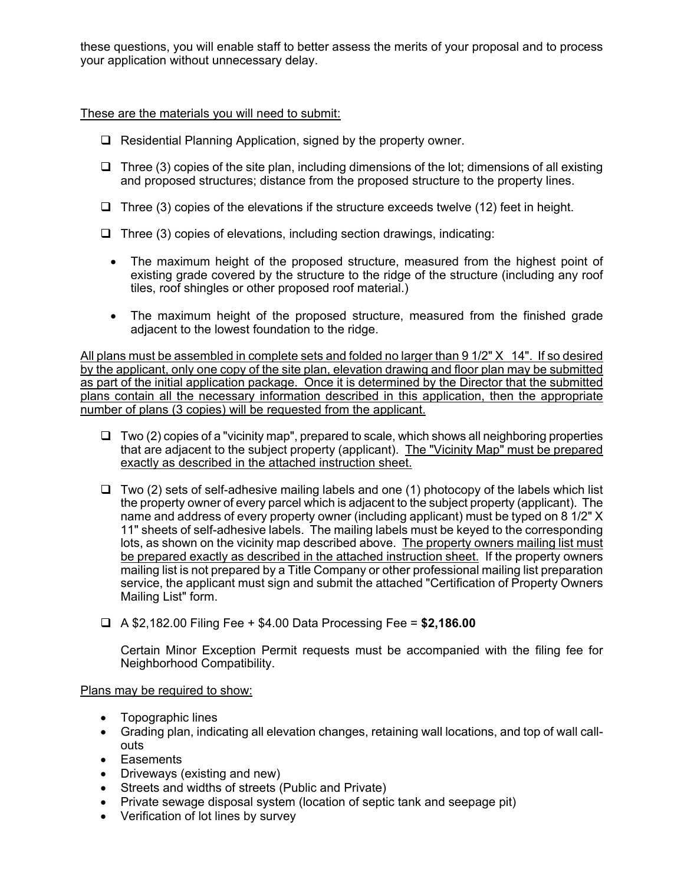these questions, you will enable staff to better assess the merits of your proposal and to process your application without unnecessary delay.

These are the materials you will need to submit:

- $\Box$  Residential Planning Application, signed by the property owner.
- $\Box$  Three (3) copies of the site plan, including dimensions of the lot; dimensions of all existing and proposed structures; distance from the proposed structure to the property lines.
- $\Box$  Three (3) copies of the elevations if the structure exceeds twelve (12) feet in height.
- $\Box$  Three (3) copies of elevations, including section drawings, indicating:
	- The maximum height of the proposed structure, measured from the highest point of existing grade covered by the structure to the ridge of the structure (including any roof tiles, roof shingles or other proposed roof material.)
	- The maximum height of the proposed structure, measured from the finished grade adjacent to the lowest foundation to the ridge.

All plans must be assembled in complete sets and folded no larger than 9 1/2" X 14". If so desired by the applicant, only one copy of the site plan, elevation drawing and floor plan may be submitted as part of the initial application package. Once it is determined by the Director that the submitted plans contain all the necessary information described in this application, then the appropriate number of plans (3 copies) will be requested from the applicant.

- $\Box$  Two (2) copies of a "vicinity map", prepared to scale, which shows all neighboring properties that are adjacent to the subject property (applicant). The "Vicinity Map" must be prepared exactly as described in the attached instruction sheet.
- $\Box$  Two (2) sets of self-adhesive mailing labels and one (1) photocopy of the labels which list the property owner of every parcel which is adjacent to the subject property (applicant). The name and address of every property owner (including applicant) must be typed on 8 1/2" X 11" sheets of self-adhesive labels. The mailing labels must be keyed to the corresponding lots, as shown on the vicinity map described above. The property owners mailing list must be prepared exactly as described in the attached instruction sheet. If the property owners mailing list is not prepared by a Title Company or other professional mailing list preparation service, the applicant must sign and submit the attached "Certification of Property Owners Mailing List" form.
- A \$2,182.00 Filing Fee + \$4.00 Data Processing Fee = **\$2,186.00**

Certain Minor Exception Permit requests must be accompanied with the filing fee for Neighborhood Compatibility.

Plans may be required to show:

- Topographic lines
- Grading plan, indicating all elevation changes, retaining wall locations, and top of wall callouts
- Easements
- Driveways (existing and new)
- Streets and widths of streets (Public and Private)
- Private sewage disposal system (location of septic tank and seepage pit)
- Verification of lot lines by survey